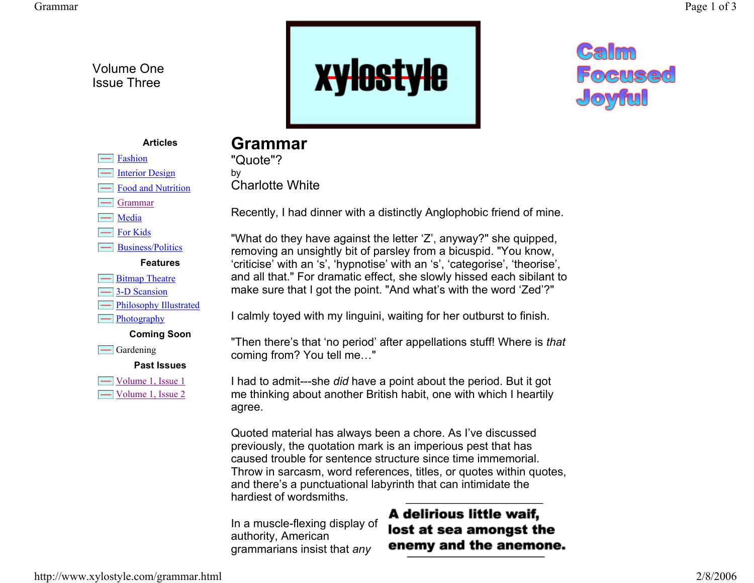Volume One Issue Three

> Fashion Interior Design Food and Nutrition

 $\equiv$  Grammar  $\equiv$  Media

For Kids

**Example 1** Bitmap Theatre 3-D Scansion  $\equiv$  Philosophy Illustrated

 $\equiv$ Photography

 $\equiv$  Gardening

Business/Politics **Features**

**Coming Soon**

**Past Issues**

 $\Box$  Volume 1, Issue 1 Volume 1, Issue 2





## **Articles**

## **Grammar**

"Quote"? by Charlotte White

Recently, I had dinner with a distinctly Anglophobic friend of mine.

"What do they have against the letter 'Z', anyway?" she quipped, removing an unsightly bit of parsley from a bicuspid. "You know, 'criticise' with an 's', 'hypnotise' with an 's', 'categorise', 'theorise', and all that." For dramatic effect, she slowly hissed each sibilant to make sure that I got the point. "And what's with the word 'Zed'?"

I calmly toyed with my linguini, waiting for her outburst to finish.

"Then there's that 'no period' after appellations stuff! Where is *that*  coming from? You tell me…"

I had to admit---she *did* have a point about the period. But it got me thinking about another British habit, one with which I heartily agree.

Quoted material has always been a chore. As I've discussed previously, the quotation mark is an imperious pest that has caused trouble for sentence structure since time immemorial. Throw in sarcasm, word references, titles, or quotes within quotes, and there's a punctuational labyrinth that can intimidate the hardiest of wordsmiths.

In a muscle-flexing display of authority, American grammarians insist that *any*

## A delirious little waif, lost at sea amongst the enemy and the anemone.

http://www.xylostyle.com/grammar.html 2/8/2006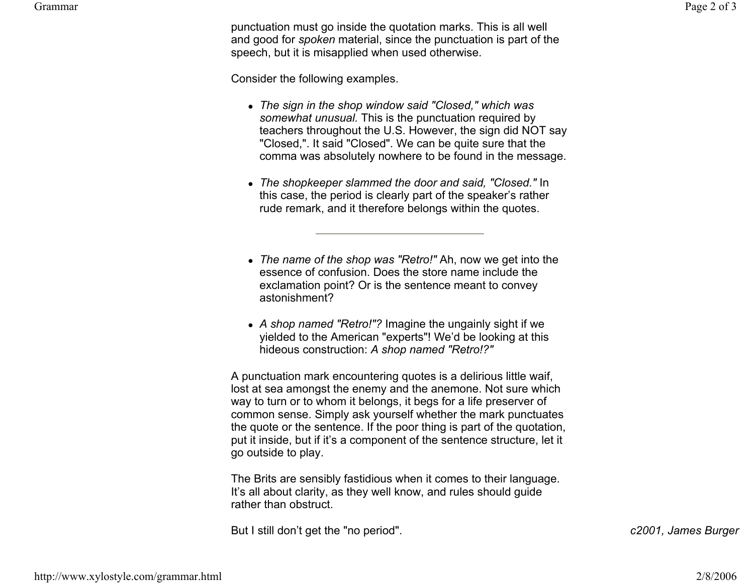Grammar

punctuation must go inside the quotation marks. This is all well and good for *spoken* material, since the punctuation is part of the speech, but it is misapplied when used otherwise.

Consider the following examples.

- z *The sign in the shop window said "Closed," which was somewhat unusual.* This is the punctuation required by teachers throughout the U.S. However, the sign did NOT say "Closed,". It said "Closed". We can be quite sure that the comma was absolutely nowhere to be found in the message.
- z *The shopkeeper slammed the door and said, "Closed."* In this case, the period is clearly part of the speaker's rather rude remark, and it therefore belongs within the quotes.
- *The name of the shop was "Retro!"* Ah, now we get into the essence of confusion. Does the store name include the exclamation point? Or is the sentence meant to convey astonishment?
- A shop named "Retro!"? Imagine the ungainly sight if we yielded to the American "experts"! We'd be looking at this hideous construction: *A shop named "Retro!?"*

A punctuation mark encountering quotes is a delirious little waif, lost at sea amongst the enemy and the anemone. Not sure which way to turn or to whom it belongs, it begs for a life preserver of common sense. Simply ask yourself whether the mark punctuates the quote or the sentence. If the poor thing is part of the quotation, put it inside, but if it's a component of the sentence structure, let it go outside to play.

The Brits are sensibly fastidious when it comes to their language. It's all about clarity, as they well know, and rules should guide rather than obstruct.

But I still don't get the "no period". *c2001, James Burger*